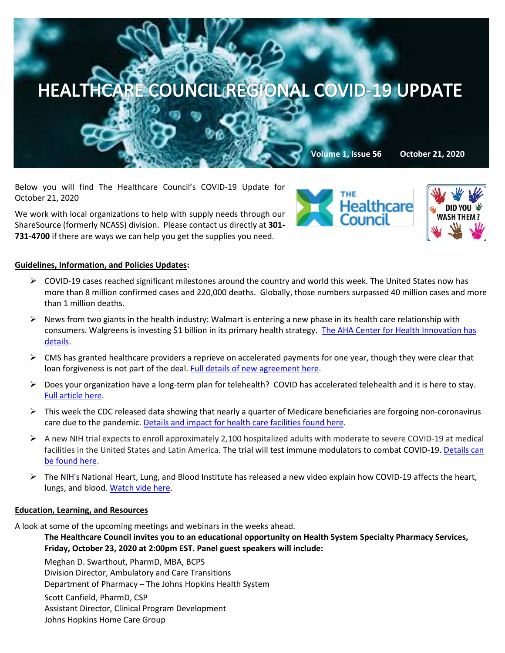

Below you will find The Healthcare Council's COVID-19 Update for October 21, 2020

We work with local organizations to help with supply needs through our ShareSource (formerly NCASS) division. Please contact us directly at **301- 731-4700** if there are ways we can help you get the supplies you need.





# **Guidelines, Information, and Policies Updates:**

- $\triangleright$  COVID-19 cases reached significant milestones around the country and world this week. The United States now has more than 8 million confirmed cases and 220,000 deaths. Globally, those numbers surpassed 40 million cases and more than 1 million deaths.
- $\triangleright$  News from two giants in the health industry: Walmart is entering a new phase in its health care relationship with consumers. Walgreens is investing \$1 billion in its primary health strategy. [The AHA Center for Health Innovation has](https://contentsharing.net/actions/email_web_version.cfm?ep=Bdhtp-zVuqFkgQiV6-lxty0f-nrLBJWzuTngPvD-5dUxkspFHbVD66d38KxhAPNwusSg_GW4WdnbcIQ0EZJC8zphealbqmtncMkzAKCGztwDZEqMviTqFp2IVNFIwQ4a)  [details.](https://contentsharing.net/actions/email_web_version.cfm?ep=Bdhtp-zVuqFkgQiV6-lxty0f-nrLBJWzuTngPvD-5dUxkspFHbVD66d38KxhAPNwusSg_GW4WdnbcIQ0EZJC8zphealbqmtncMkzAKCGztwDZEqMviTqFp2IVNFIwQ4a)
- $\triangleright$  CMS has granted healthcare providers a reprieve on accelerated payments for one year, though they were clear that loan forgiveness is not part of the deal. Full details of new agreement here.
- $\triangleright$  Does your organization have a long-term plan for telehealth? COVID has accelerated telehealth and it is here to stay. [Full article here.](https://www.pwc.com/us/en/industries/health-industries/library/new-cms-repayment-terms-for-healthcare-providers.html?WT.mc_id=CT2-PL200-DM2-TR1-LS4-ND8-PR4-CN_HRINEXTINHEALTH10192020-10192020&pwctrackemail=lpitton@healthcare-council.org)
- $\triangleright$  This week the CDC released data showing that nearly a quarter of Medicare beneficiaries are forgoing non-coronavirus care due to the pandemic. [Details and impact for health care facilities found here.](https://www.cms.gov/newsroom/press-releases/cms-survey-data-illustrates-impact-covid-19-medicare-beneficiaries-daily-life-and-experiences)
- $\triangleright$  A new NIH trial expects to enroll approximately 2,100 hospitalized adults with moderate to severe COVID-19 at medical facilities in the United States and Latin America. The trial will test immune modulators to combat COVID-19. [Details can](https://www.nih.gov/news-events/news-releases/nih-begins-large-clinical-trial-test-immune-modulators-treatment-covid-19)  [be found here.](https://www.nih.gov/news-events/news-releases/nih-begins-large-clinical-trial-test-immune-modulators-treatment-covid-19)
- $\triangleright$  The NIH's National Heart, Lung, and Blood Institute has released a new video explain how COVID-19 affects the heart, lungs, and blood. [Watch vide here.](https://www.youtube.com/playlist?list=PL_ntiNjc6GvlsZ9ow8z-BCOZdN4jZyi3M)

# **Education, Learning, and Resources**

A look at some of the upcoming meetings and webinars in the weeks ahead.

**The Healthcare Council invites you to an educational opportunity on Health System Specialty Pharmacy Services, Friday, October 23, 2020 at 2:00pm EST. Panel guest speakers will include:**

Meghan D. Swarthout, PharmD, MBA, BCPS

Division Director, Ambulatory and Care Transitions

Department of Pharmacy – The Johns Hopkins Health System

Scott Canfield, PharmD, CSP

Assistant Director, Clinical Program Development

Johns Hopkins Home Care Group